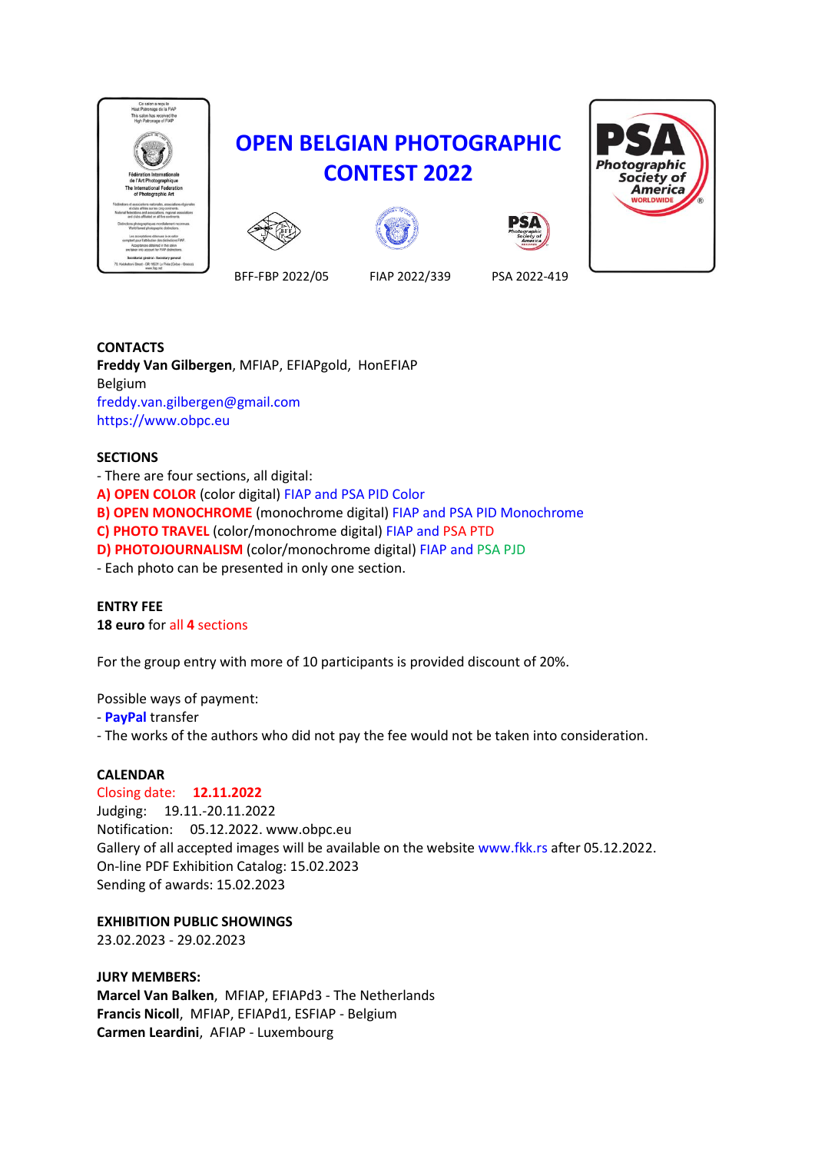

# **OPEN BELGIAN PHOTOGRAPHIC CONTEST 2022**







BFF-FBP 2022/05 FIAP 2022/339 PSA 2022-419

**CONTACTS Freddy Van Gilbergen**, MFIAP, EFIAPgold, HonEFIAP Belgium freddy.van.gilbergen@gmail.com https://www.obpc.eu

# **SECTIONS**

- There are four sections, all digital: **A) OPEN COLOR** (color digital) FIAP and PSA PID Color **B) OPEN MONOCHROME** (monochrome digital) FIAP and PSA PID Monochrome **C) PHOTO TRAVEL** (color/monochrome digital) FIAP and PSA PTD **D) PHOTOJOURNALISM** (color/monochrome digital) FIAP and PSA PJD - Each photo can be presented in only one section.

#### **ENTRY FEE 18 euro** for all **4** sections

For the group entry with more of 10 participants is provided discount of 20%.

Possible ways of payment:

- **PayPal** transfer

- The works of the authors who did not pay the fee would not be taken into consideration.

# **CALENDAR**

Closing date: **12.11.2022** Judging: 19.11.-20.11.2022 Notification: 05.12.2022. www.obpc.eu Gallery of all accepted images will be available on the website www.fkk.rs after 05.12.2022. On-line PDF Exhibition Catalog: 15.02.2023 Sending of awards: 15.02.2023

**EXHIBITION PUBLIC SHOWINGS**

23.02.2023 - 29.02.2023

**JURY MEMBERS: Marcel Van Balken**, MFIAP, EFIAPd3 - The Netherlands **Francis Nicoll**, MFIAP, EFIAPd1, ESFIAP - Belgium **Carmen Leardini**, AFIAP - Luxembourg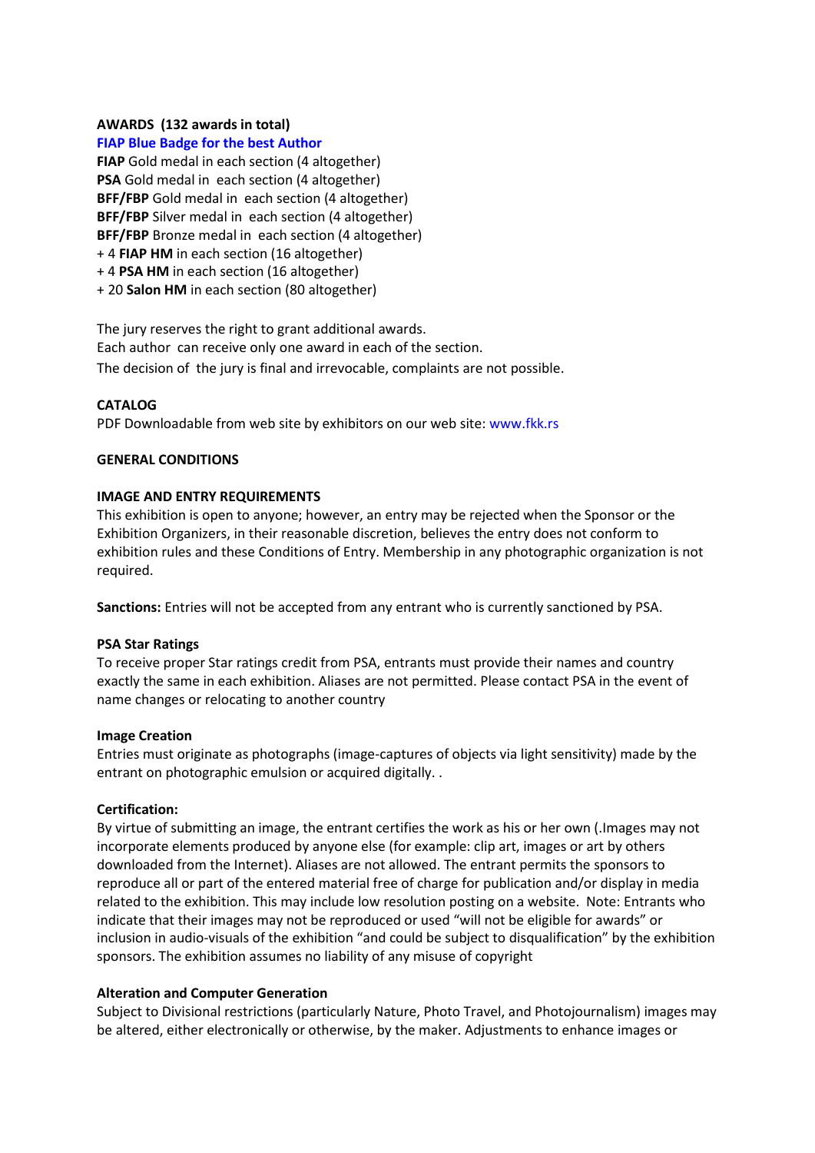# **AWARDS (132 awards in total)**

#### **FIAP Blue Badge for the best Author**

**FIAP** Gold medal in each section (4 altogether) **PSA** Gold medal in each section (4 altogether) **BFF/FBP** Gold medal in each section (4 altogether) **BFF/FBP** Silver medal in each section (4 altogether) **BFF/FBP** Bronze medal in each section (4 altogether) + 4 **FIAP HM** in each section (16 altogether) + 4 **PSA HM** in each section (16 altogether)

+ 20 **Salon HM** in each section (80 altogether)

The jury reserves the right to grant additional awards. Each author can receive only one award in each of the section. The decision of the jury is final and irrevocable, complaints are not possible.

#### **CATALOG**

PDF Downloadable from web site by exhibitors on our web site: www.fkk.rs

#### **GENERAL CONDITIONS**

#### **IMAGE AND ENTRY REQUIREMENTS**

This exhibition is open to anyone; however, an entry may be rejected when the Sponsor or the Exhibition Organizers, in their reasonable discretion, believes the entry does not conform to exhibition rules and these Conditions of Entry. Membership in any photographic organization is not required.

**Sanctions:** Entries will not be accepted from any entrant who is currently sanctioned by PSA.

#### **PSA Star Ratings**

To receive proper Star ratings credit from PSA, entrants must provide their names and country exactly the same in each exhibition. Aliases are not permitted. Please contact PSA in the event of name changes or relocating to another country

#### **Image Creation**

Entries must originate as photographs (image-captures of objects via light sensitivity) made by the entrant on photographic emulsion or acquired digitally. .

#### **Certification:**

By virtue of submitting an image, the entrant certifies the work as his or her own (.Images may not incorporate elements produced by anyone else (for example: clip art, images or art by others downloaded from the Internet). Aliases are not allowed. The entrant permits the sponsors to reproduce all or part of the entered material free of charge for publication and/or display in media related to the exhibition. This may include low resolution posting on a website. Note: Entrants who indicate that their images may not be reproduced or used "will not be eligible for awards" or inclusion in audio-visuals of the exhibition "and could be subject to disqualification" by the exhibition sponsors. The exhibition assumes no liability of any misuse of copyright

#### **Alteration and Computer Generation**

Subject to Divisional restrictions (particularly Nature, Photo Travel, and Photojournalism) images may be altered, either electronically or otherwise, by the maker. Adjustments to enhance images or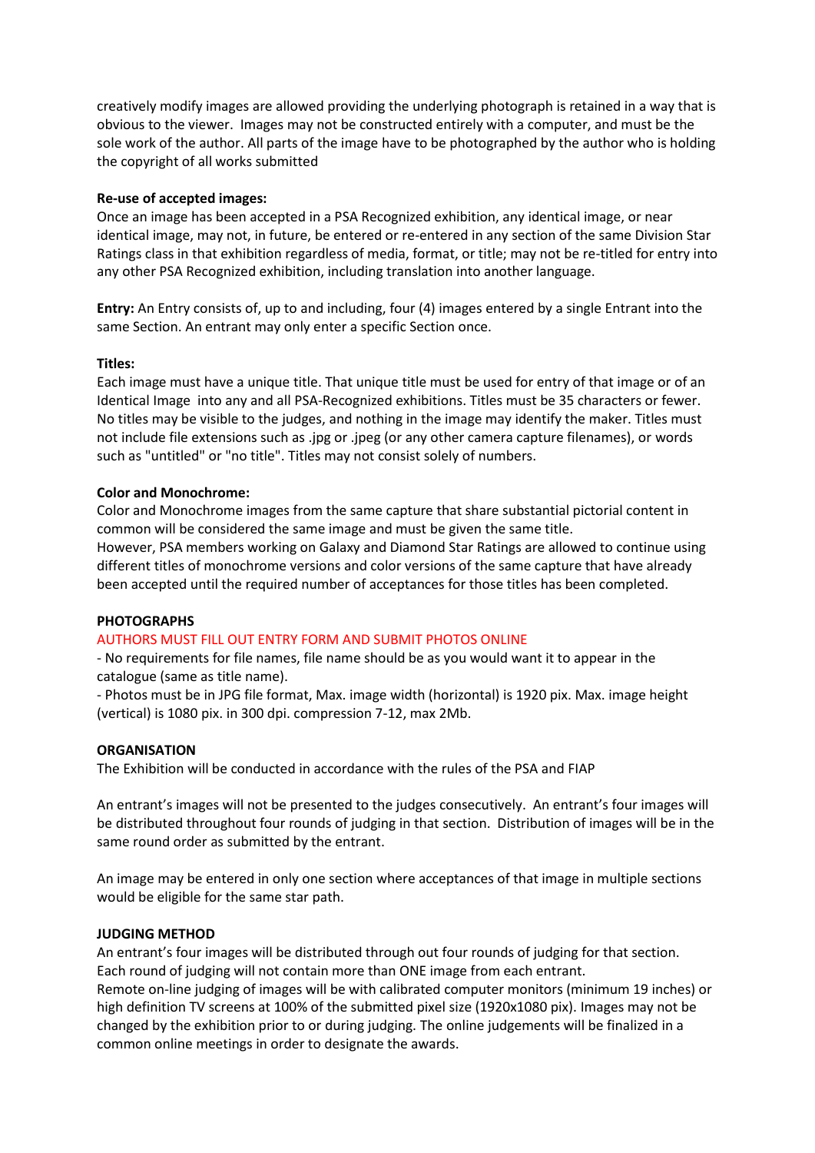creatively modify images are allowed providing the underlying photograph is retained in a way that is obvious to the viewer. Images may not be constructed entirely with a computer, and must be the sole work of the author. All parts of the image have to be photographed by the author who is holding the copyright of all works submitted

### **Re-use of accepted images:**

Once an image has been accepted in a PSA Recognized exhibition, any identical image, or near identical image, may not, in future, be entered or re-entered in any section of the same Division Star Ratings class in that exhibition regardless of media, format, or title; may not be re-titled for entry into any other PSA Recognized exhibition, including translation into another language.

**Entry:** An Entry consists of, up to and including, four (4) images entered by a single Entrant into the same Section. An entrant may only enter a specific Section once.

#### **Titles:**

Each image must have a unique title. That unique title must be used for entry of that image or of an Identical Image into any and all PSA-Recognized exhibitions. Titles must be 35 characters or fewer. No titles may be visible to the judges, and nothing in the image may identify the maker. Titles must not include file extensions such as .jpg or .jpeg (or any other camera capture filenames), or words such as "untitled" or "no title". Titles may not consist solely of numbers.

# **Color and Monochrome:**

Color and Monochrome images from the same capture that share substantial pictorial content in common will be considered the same image and must be given the same title.

However, PSA members working on Galaxy and Diamond Star Ratings are allowed to continue using different titles of monochrome versions and color versions of the same capture that have already been accepted until the required number of acceptances for those titles has been completed.

#### **PHOTOGRAPHS**

# AUTHORS MUST FILL OUT ENTRY FORM AND SUBMIT PHOTOS ONLINE

common online meetings in order to designate the awards.

- No requirements for file names, file name should be as you would want it to appear in the catalogue (same as title name).

- Photos must be in JPG file format, Max. image width (horizontal) is 1920 pix. Max. image height (vertical) is 1080 pix. in 300 dpi. compression 7-12, max 2Mb.

#### **ORGANISATION**

The Exhibition will be conducted in accordance with the rules of the PSA and FIAP

An entrant's images will not be presented to the judges consecutively. An entrant's four images will be distributed throughout four rounds of judging in that section. Distribution of images will be in the same round order as submitted by the entrant.

An image may be entered in only one section where acceptances of that image in multiple sections would be eligible for the same star path.

#### **JUDGING METHOD**

An entrant's four images will be distributed through out four rounds of judging for that section. Each round of judging will not contain more than ONE image from each entrant. Remote on-line judging of images will be with calibrated computer monitors (minimum 19 inches) or high definition TV screens at 100% of the submitted pixel size (1920x1080 pix). Images may not be changed by the exhibition prior to or during judging. The online judgements will be finalized in a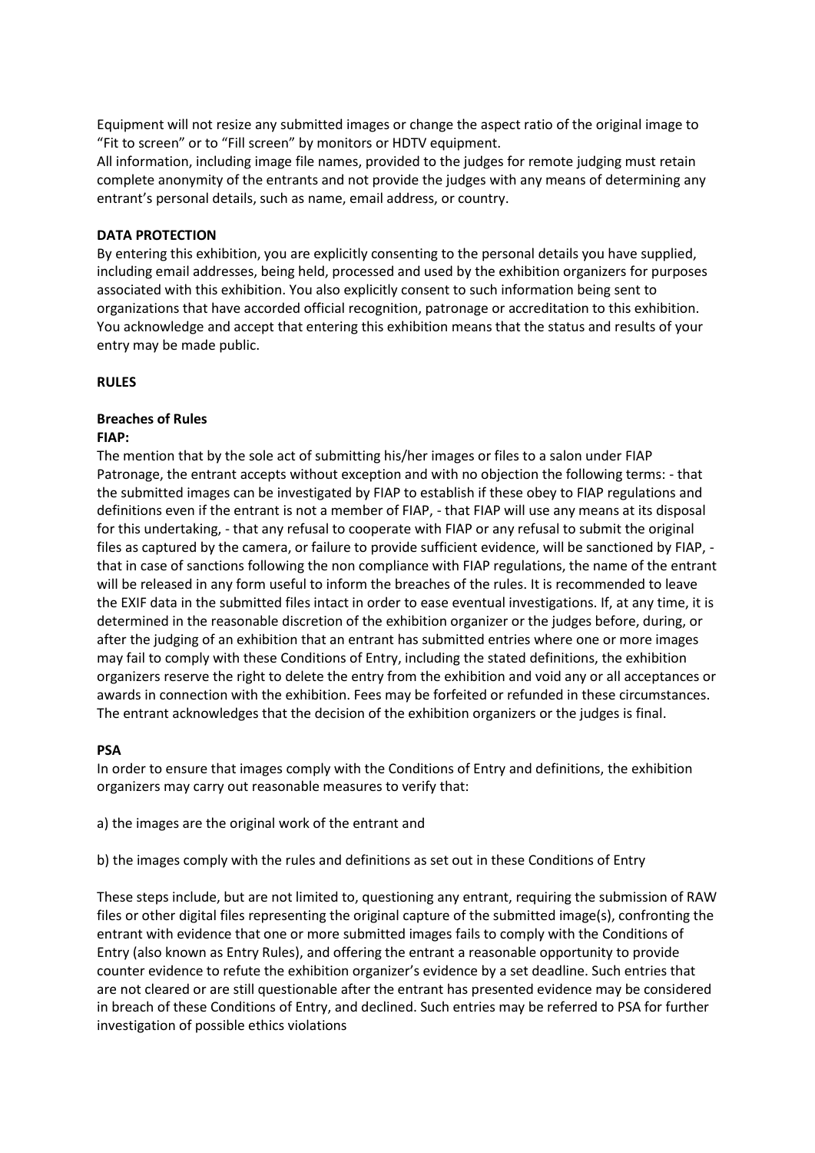Equipment will not resize any submitted images or change the aspect ratio of the original image to "Fit to screen" or to "Fill screen" by monitors or HDTV equipment.

All information, including image file names, provided to the judges for remote judging must retain complete anonymity of the entrants and not provide the judges with any means of determining any entrant's personal details, such as name, email address, or country.

#### **DATA PROTECTION**

By entering this exhibition, you are explicitly consenting to the personal details you have supplied, including email addresses, being held, processed and used by the exhibition organizers for purposes associated with this exhibition. You also explicitly consent to such information being sent to organizations that have accorded official recognition, patronage or accreditation to this exhibition. You acknowledge and accept that entering this exhibition means that the status and results of your entry may be made public.

#### **RULES**

# **Breaches of Rules**

#### **FIAP:**

The mention that by the sole act of submitting his/her images or files to a salon under FIAP Patronage, the entrant accepts without exception and with no objection the following terms: - that the submitted images can be investigated by FIAP to establish if these obey to FIAP regulations and definitions even if the entrant is not a member of FIAP, - that FIAP will use any means at its disposal for this undertaking, - that any refusal to cooperate with FIAP or any refusal to submit the original files as captured by the camera, or failure to provide sufficient evidence, will be sanctioned by FIAP, that in case of sanctions following the non compliance with FIAP regulations, the name of the entrant will be released in any form useful to inform the breaches of the rules. It is recommended to leave the EXIF data in the submitted files intact in order to ease eventual investigations. If, at any time, it is determined in the reasonable discretion of the exhibition organizer or the judges before, during, or after the judging of an exhibition that an entrant has submitted entries where one or more images may fail to comply with these Conditions of Entry, including the stated definitions, the exhibition organizers reserve the right to delete the entry from the exhibition and void any or all acceptances or awards in connection with the exhibition. Fees may be forfeited or refunded in these circumstances. The entrant acknowledges that the decision of the exhibition organizers or the judges is final.

#### **PSA**

In order to ensure that images comply with the Conditions of Entry and definitions, the exhibition organizers may carry out reasonable measures to verify that:

a) the images are the original work of the entrant and

b) the images comply with the rules and definitions as set out in these Conditions of Entry

These steps include, but are not limited to, questioning any entrant, requiring the submission of RAW files or other digital files representing the original capture of the submitted image(s), confronting the entrant with evidence that one or more submitted images fails to comply with the Conditions of Entry (also known as Entry Rules), and offering the entrant a reasonable opportunity to provide counter evidence to refute the exhibition organizer's evidence by a set deadline. Such entries that are not cleared or are still questionable after the entrant has presented evidence may be considered in breach of these Conditions of Entry, and declined. Such entries may be referred to PSA for further investigation of possible ethics violations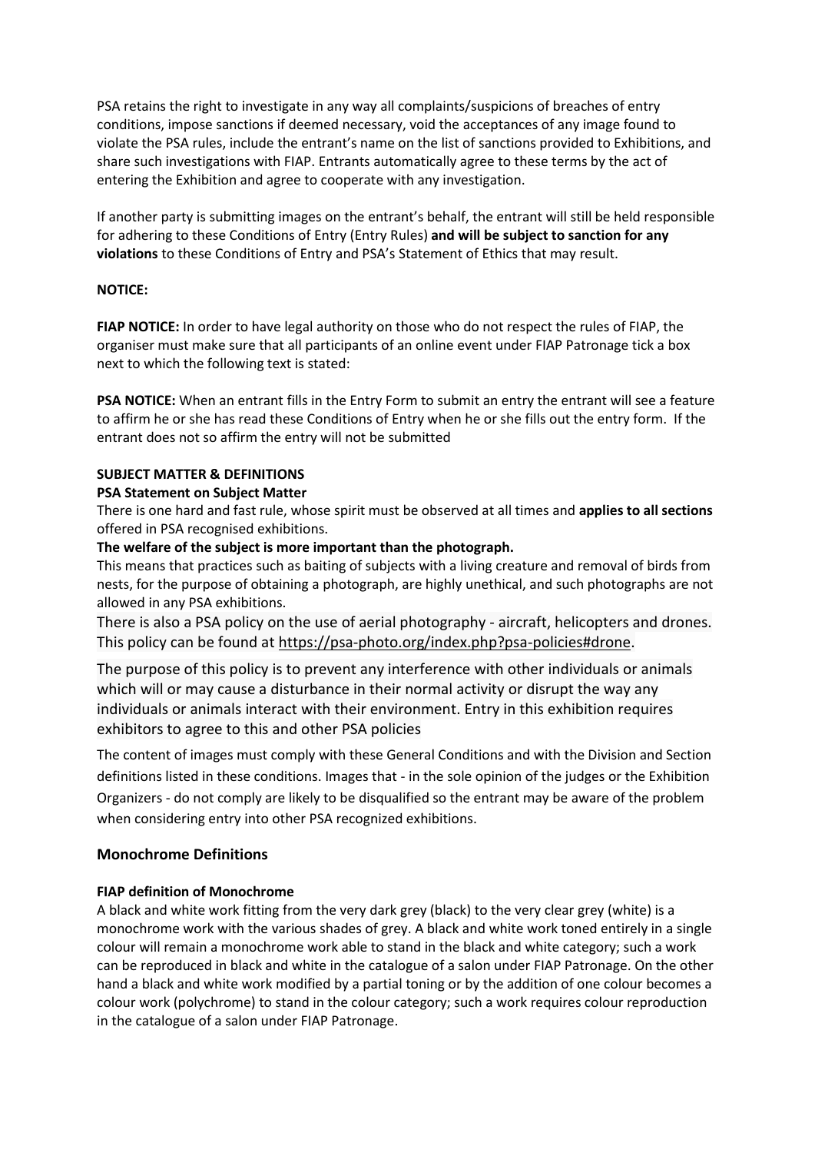PSA retains the right to investigate in any way all complaints/suspicions of breaches of entry conditions, impose sanctions if deemed necessary, void the acceptances of any image found to violate the PSA rules, include the entrant's name on the list of sanctions provided to Exhibitions, and share such investigations with FIAP. Entrants automatically agree to these terms by the act of entering the Exhibition and agree to cooperate with any investigation.

If another party is submitting images on the entrant's behalf, the entrant will still be held responsible for adhering to these Conditions of Entry (Entry Rules) **and will be subject to sanction for any violations** to these Conditions of Entry and PSA's Statement of Ethics that may result.

# **NOTICE:**

**FIAP NOTICE:** In order to have legal authority on those who do not respect the rules of FIAP, the organiser must make sure that all participants of an online event under FIAP Patronage tick a box next to which the following text is stated:

**PSA NOTICE:** When an entrant fills in the Entry Form to submit an entry the entrant will see a feature to affirm he or she has read these Conditions of Entry when he or she fills out the entry form. If the entrant does not so affirm the entry will not be submitted

# **SUBJECT MATTER & DEFINITIONS**

# **PSA Statement on Subject Matter**

There is one hard and fast rule, whose spirit must be observed at all times and **applies to all sections** offered in PSA recognised exhibitions.

# **The welfare of the subject is more important than the photograph.**

This means that practices such as baiting of subjects with a living creature and removal of birds from nests, for the purpose of obtaining a photograph, are highly unethical, and such photographs are not allowed in any PSA exhibitions.

There is also a PSA policy on the use of aerial photography - aircraft, helicopters and drones. This policy can be found at [https://psa-photo.org/index.php?psa-policies#drone.](https://psa-photo.org/index.php?psa-policies#drone)

The purpose of this policy is to prevent any interference with other individuals or animals which will or may cause a disturbance in their normal activity or disrupt the way any individuals or animals interact with their environment. Entry in this exhibition requires exhibitors to agree to this and other PSA policies

The content of images must comply with these General Conditions and with the Division and Section definitions listed in these conditions. Images that - in the sole opinion of the judges or the Exhibition Organizers - do not comply are likely to be disqualified so the entrant may be aware of the problem when considering entry into other PSA recognized exhibitions.

# **Monochrome Definitions**

# **FIAP definition of Monochrome**

A black and white work fitting from the very dark grey (black) to the very clear grey (white) is a monochrome work with the various shades of grey. A black and white work toned entirely in a single colour will remain a monochrome work able to stand in the black and white category; such a work can be reproduced in black and white in the catalogue of a salon under FIAP Patronage. On the other hand a black and white work modified by a partial toning or by the addition of one colour becomes a colour work (polychrome) to stand in the colour category; such a work requires colour reproduction in the catalogue of a salon under FIAP Patronage.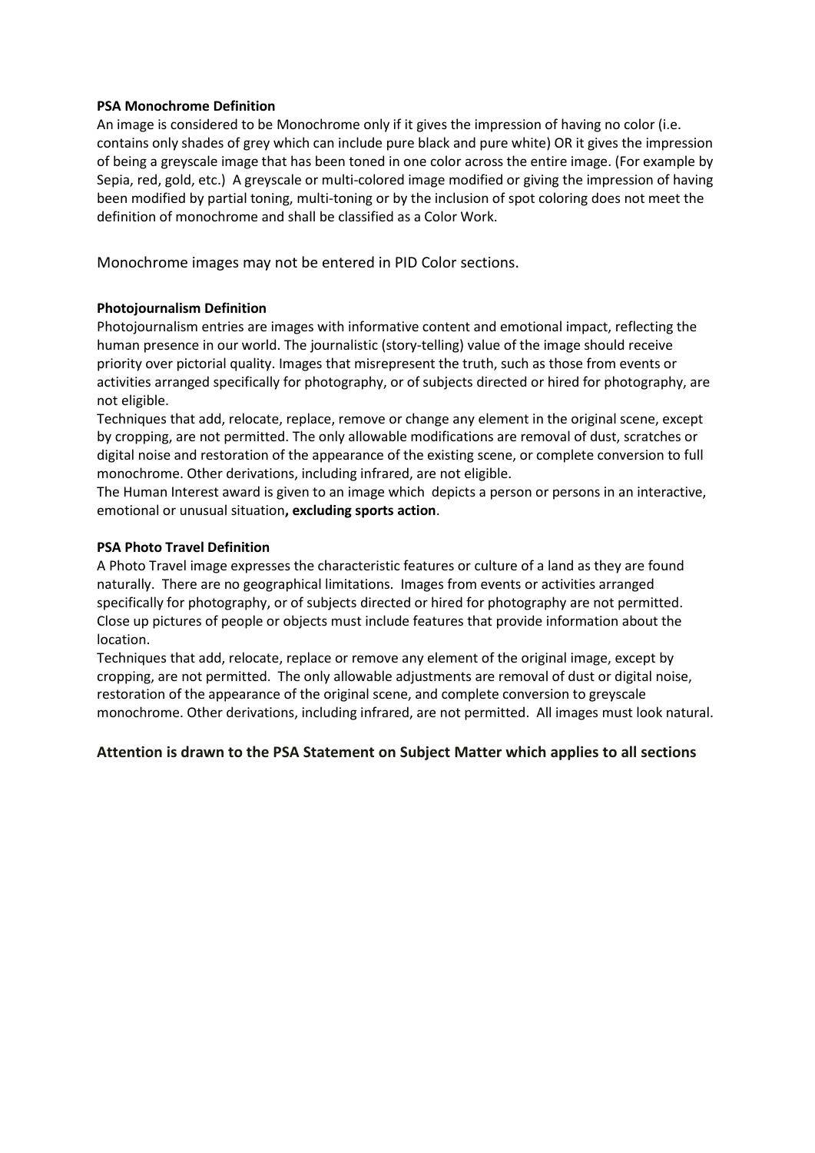# **PSA Monochrome Definition**

An image is considered to be Monochrome only if it gives the impression of having no color (i.e. contains only shades of grey which can include pure black and pure white) OR it gives the impression of being a greyscale image that has been toned in one color across the entire image. (For example by Sepia, red, gold, etc.) A greyscale or multi-colored image modified or giving the impression of having been modified by partial toning, multi-toning or by the inclusion of spot coloring does not meet the definition of monochrome and shall be classified as a Color Work.

Monochrome images may not be entered in PID Color sections.

# **Photojournalism Definition**

Photojournalism entries are images with informative content and emotional impact, reflecting the human presence in our world. The journalistic (story-telling) value of the image should receive priority over pictorial quality. Images that misrepresent the truth, such as those from events or activities arranged specifically for photography, or of subjects directed or hired for photography, are not eligible.

Techniques that add, relocate, replace, remove or change any element in the original scene, except by cropping, are not permitted. The only allowable modifications are removal of dust, scratches or digital noise and restoration of the appearance of the existing scene, or complete conversion to full monochrome. Other derivations, including infrared, are not eligible.

The Human Interest award is given to an image which depicts a person or persons in an interactive, emotional or unusual situation**, excluding sports action**.

# **PSA Photo Travel Definition**

A Photo Travel image expresses the characteristic features or culture of a land as they are found naturally. There are no geographical limitations. Images from events or activities arranged specifically for photography, or of subjects directed or hired for photography are not permitted. Close up pictures of people or objects must include features that provide information about the location.

Techniques that add, relocate, replace or remove any element of the original image, except by cropping, are not permitted. The only allowable adjustments are removal of dust or digital noise, restoration of the appearance of the original scene, and complete conversion to greyscale monochrome. Other derivations, including infrared, are not permitted. All images must look natural.

# **Attention is drawn to the PSA Statement on Subject Matter which applies to all sections**